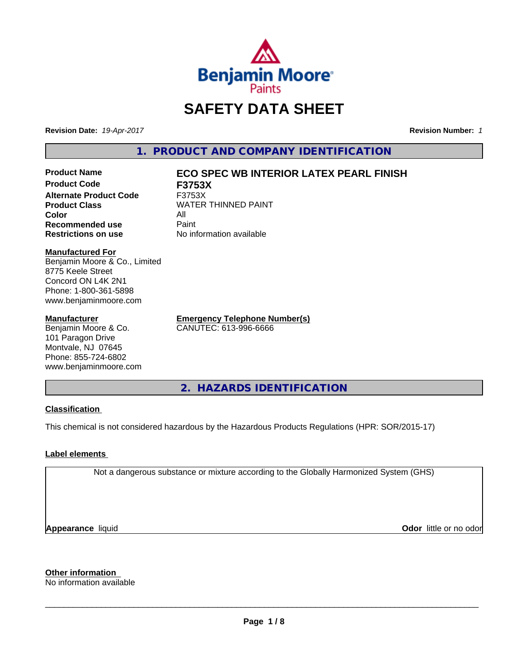

# **SAFETY DATA SHEET**

**Revision Date:** *19-Apr-2017* **Revision Number:** *1*

**1. PRODUCT AND COMPANY IDENTIFICATION**

**Product Code F3753X Alternate Product Code** F3753X **Color** All **Recommended use Paint Restrictions on use** No information available

## **Product Name ECO SPEC WB INTERIOR LATEX PEARL FINISH**

**Product Class WATER THINNED PAINT** 

**Manufactured For**

Benjamin Moore & Co., Limited 8775 Keele Street Concord ON L4K 2N1 Phone: 1-800-361-5898 www.benjaminmoore.com

#### **Manufacturer**

Benjamin Moore & Co. 101 Paragon Drive Montvale, NJ 07645 Phone: 855-724-6802 www.benjaminmoore.com **Emergency Telephone Number(s)** CANUTEC: 613-996-6666

**2. HAZARDS IDENTIFICATION**

#### **Classification**

This chemical is not considered hazardous by the Hazardous Products Regulations (HPR: SOR/2015-17)

#### **Label elements**

Not a dangerous substance or mixture according to the Globally Harmonized System (GHS)

**Appearance** liquid

**Odor** little or no odor

**Other information**

No information available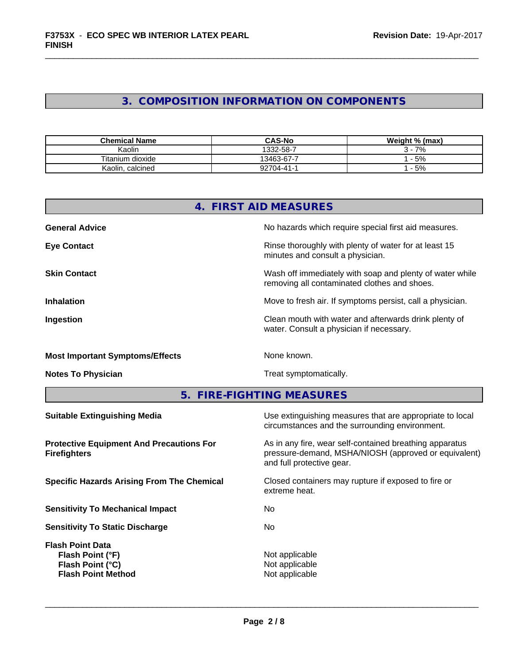## **3. COMPOSITION INFORMATION ON COMPONENTS**

| <b>Chemical Name</b> | <b>CAS-No</b> | Weight % (max)                 |
|----------------------|---------------|--------------------------------|
| Kaolin               | 1332-58-7     | 7%<br>. .                      |
| Titanium dioxide     | 13463-67-7    | - 5%                           |
| Kaolin, calcined     | 92704-41-1    | 5%<br>$\overline{\phantom{0}}$ |

| 4. FIRST AID MEASURES                  |                                                                                                          |  |
|----------------------------------------|----------------------------------------------------------------------------------------------------------|--|
| <b>General Advice</b>                  | No hazards which require special first aid measures.                                                     |  |
| <b>Eye Contact</b>                     | Rinse thoroughly with plenty of water for at least 15<br>minutes and consult a physician.                |  |
| <b>Skin Contact</b>                    | Wash off immediately with soap and plenty of water while<br>removing all contaminated clothes and shoes. |  |
| <b>Inhalation</b>                      | Move to fresh air. If symptoms persist, call a physician.                                                |  |
| Ingestion                              | Clean mouth with water and afterwards drink plenty of<br>water. Consult a physician if necessary.        |  |
| <b>Most Important Symptoms/Effects</b> | None known.                                                                                              |  |
| <b>Notes To Physician</b>              | Treat symptomatically.                                                                                   |  |

**5. FIRE-FIGHTING MEASURES**

| Use extinguishing measures that are appropriate to local<br>circumstances and the surrounding environment.                                   |
|----------------------------------------------------------------------------------------------------------------------------------------------|
| As in any fire, wear self-contained breathing apparatus<br>pressure-demand, MSHA/NIOSH (approved or equivalent)<br>and full protective gear. |
| Closed containers may rupture if exposed to fire or<br>extreme heat.                                                                         |
| No.                                                                                                                                          |
| No.                                                                                                                                          |
| Not applicable<br>Not applicable<br>Not applicable                                                                                           |
|                                                                                                                                              |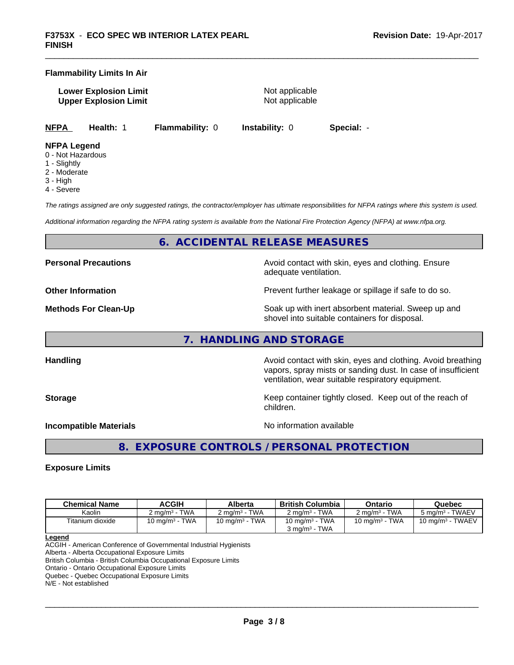#### **Flammability Limits In Air**

**Lower Explosion Limit** Not applicable **Upper Explosion Limit** Not applicable

**NFPA Health:** 1 **Flammability:** 0 **Instability:** 0 **Special:** -

#### **NFPA Legend**

- 0 Not Hazardous
- 1 Slightly
- 2 Moderate
- 3 High
- 4 Severe

*The ratings assigned are only suggested ratings, the contractor/employer has ultimate responsibilities for NFPA ratings where this system is used.*

*Additional information regarding the NFPA rating system is available from the National Fire Protection Agency (NFPA) at www.nfpa.org.*

#### **6. ACCIDENTAL RELEASE MEASURES**

**Personal Precautions Precautions** Avoid contact with skin, eyes and clothing. Ensure

**Other Information Discription Prevent further leakage or spillage if safe to do so.** 

**Methods For Clean-Up Force 20 All 20 All 20 All 20 Soak** up with inert absorbent material. Sweep up and shovel into suitable containers for disposal.

vapors, spray mists or sanding dust. In case of insufficient

ventilation, wear suitable respiratory equipment.

#### **7. HANDLING AND STORAGE**

**Handling Handling Avoid contact with skin, eyes and clothing. Avoid breathing Handling Avoid breathing Avoid breathing** 

**Storage Keep container tightly closed. Keep out of the reach of Keep Keep container tightly closed. Keep out of the reach of** 

**Incompatible Materials Incompatible Materials No information available** 

 $\overline{\phantom{a}}$  ,  $\overline{\phantom{a}}$  ,  $\overline{\phantom{a}}$  ,  $\overline{\phantom{a}}$  ,  $\overline{\phantom{a}}$  ,  $\overline{\phantom{a}}$  ,  $\overline{\phantom{a}}$  ,  $\overline{\phantom{a}}$  ,  $\overline{\phantom{a}}$  ,  $\overline{\phantom{a}}$  ,  $\overline{\phantom{a}}$  ,  $\overline{\phantom{a}}$  ,  $\overline{\phantom{a}}$  ,  $\overline{\phantom{a}}$  ,  $\overline{\phantom{a}}$  ,  $\overline{\phantom{a}}$ 

adequate ventilation.

## **8. EXPOSURE CONTROLS / PERSONAL PROTECTION**

children.

#### **Exposure Limits**

| <b>Chemical Name</b> | <b>ACGIH</b>             | Alberta                  | <b>British Columbia</b>                       | Ontario                  | Quebec                      |
|----------------------|--------------------------|--------------------------|-----------------------------------------------|--------------------------|-----------------------------|
| Kaolin               | $2 \text{ ma/m}^3$ - TWA | $2 \text{ ma/m}^3$ - TWA | $2 \text{ ma/m}^3$ - TWA                      | $2 \text{ ma/m}^3$ - TWA | 5 mg/m <sup>3</sup> - TWAEV |
| Titanium dioxide     | 10 mg/m $3$ - TWA        | 10 mg/m $3$ - TWA        | 10 mg/m $3$ - TWA<br>$3 \text{ ma/m}^3$ - TWA | 10 mg/m $3$ - TWA        | $10 \text{ ma/m}^3$ - TWAEV |

**Legend**

ACGIH - American Conference of Governmental Industrial Hygienists

Alberta - Alberta Occupational Exposure Limits

British Columbia - British Columbia Occupational Exposure Limits

Ontario - Ontario Occupational Exposure Limits Quebec - Quebec Occupational Exposure Limits

N/E - Not established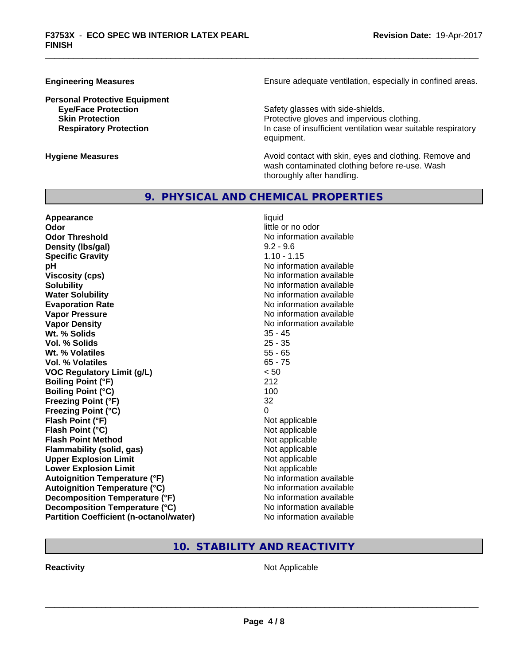**Personal Protective Equipment**

**Engineering Measures Ensure** Ensure adequate ventilation, especially in confined areas.

**Eye/Face Protection Eye/Face Protection Safety glasses with side-shields. Skin Protection Protection Protective gloves and impervious clothing. Respiratory Protection In case of insufficient ventilation wear suitable respiratory** equipment.

**Hygiene Measures Avoid contact with skin, eyes and clothing. Remove and Avoid contact with skin, eyes and clothing. Remove and Avoid contact with skin, eyes and clothing. Remove and** wash contaminated clothing before re-use. Wash thoroughly after handling.

#### **9. PHYSICAL AND CHEMICAL PROPERTIES**

**Appearance** liquid **Odor** little or no odor **Odor Threshold No information available** No information available **Density (lbs/gal)** 9.2 - 9.6 **Specific Gravity** 1.10 - 1.15 **pH pH**  $\blacksquare$ **Viscosity (cps)** No information available **Solubility** No information available **Water Solubility Water Solubility No information available Evaporation Rate No information available No information available Vapor Pressure** No information available **Vapor Density**<br> **We Solids**<br>
We Solids
25 - 45 **Wt. % Solids** 35 - 45<br> **Vol. % Solids** 25 - 35 **Vol. % Solids Wt. % Volatiles** 55 - 65 **Vol. % Volatiles** 65 - 75 **VOC Regulatory Limit (g/L)** < 50 **Boiling Point (°F)** 212 **Boiling Point (°C)** 100 **Freezing Point (°F)** 32 **Freezing Point (°C)** 0 **Flash Point (°F)** Not applicable **Flash Point (°C)** Not applicable **Flash Point Method** Not applicable **Flammability (solid, gas)** Not applicable **Upper Explosion Limit** Not applicable **Lower Explosion Limit**<br> **Autoignition Temperature (°F)** Autoignition available<br>
No information available **Autoignition Temperature (°F) Autoignition Temperature (°C)** No information available **Decomposition Temperature (°F)** No information available **Decomposition Temperature (°C)** No information available **Partition Coefficient (n-octanol/water)** No information available

**10. STABILITY AND REACTIVITY**

**Reactivity** Not Applicable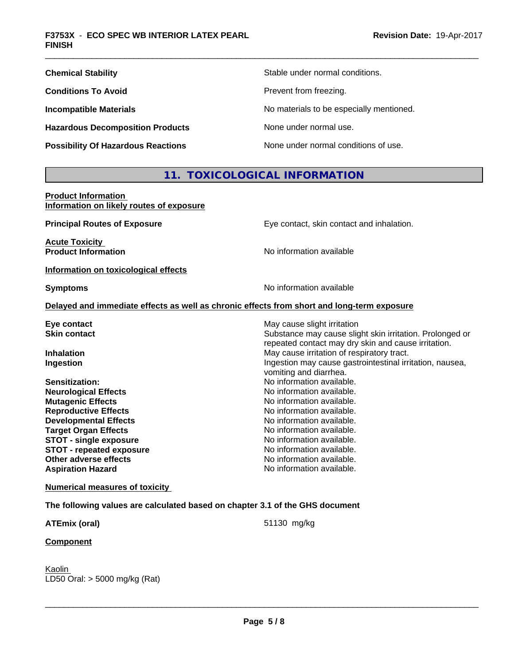| <b>Chemical Stability</b>                 | Stable under normal conditions.          |
|-------------------------------------------|------------------------------------------|
| <b>Conditions To Avoid</b>                | Prevent from freezing.                   |
| <b>Incompatible Materials</b>             | No materials to be especially mentioned. |
| <b>Hazardous Decomposition Products</b>   | None under normal use.                   |
| <b>Possibility Of Hazardous Reactions</b> | None under normal conditions of use.     |

## **11. TOXICOLOGICAL INFORMATION**

**Product Information Information on likely routes of exposure**

| <b>Principal Routes of Exposure</b>                                                        | Eye contact, skin contact and inhalation.                                                                       |
|--------------------------------------------------------------------------------------------|-----------------------------------------------------------------------------------------------------------------|
| <b>Acute Toxicity</b><br><b>Product Information</b>                                        | No information available                                                                                        |
| Information on toxicological effects                                                       |                                                                                                                 |
| <b>Symptoms</b>                                                                            | No information available                                                                                        |
| Delayed and immediate effects as well as chronic effects from short and long-term exposure |                                                                                                                 |
| Eye contact                                                                                | May cause slight irritation                                                                                     |
| <b>Skin contact</b>                                                                        | Substance may cause slight skin irritation. Prolonged or<br>repeated contact may dry skin and cause irritation. |
| <b>Inhalation</b>                                                                          | May cause irritation of respiratory tract.                                                                      |
| Ingestion                                                                                  | Ingestion may cause gastrointestinal irritation, nausea,<br>vomiting and diarrhea.                              |
| Sensitization:                                                                             | No information available.                                                                                       |
| <b>Neurological Effects</b>                                                                | No information available.                                                                                       |
| <b>Mutagenic Effects</b>                                                                   | No information available.                                                                                       |
| <b>Reproductive Effects</b>                                                                | No information available.                                                                                       |
| <b>Developmental Effects</b>                                                               | No information available.                                                                                       |
| <b>Target Organ Effects</b>                                                                | No information available.                                                                                       |
| <b>STOT - single exposure</b>                                                              | No information available.                                                                                       |
| <b>STOT - repeated exposure</b>                                                            | No information available.                                                                                       |
| Other adverse effects                                                                      | No information available.                                                                                       |
| <b>Aspiration Hazard</b>                                                                   | No information available.                                                                                       |
| <b>Numerical measures of toxicity</b>                                                      |                                                                                                                 |

**The following values are calculated based on chapter 3.1 of the GHS document**

**ATEmix (oral)** 61130 mg/kg

**Component**

Kaolin \_\_\_\_\_\_\_\_\_\_\_\_\_\_\_\_\_\_\_\_\_\_\_\_\_\_\_\_\_\_\_\_\_\_\_\_\_\_\_\_\_\_\_\_\_\_\_\_\_\_\_\_\_\_\_\_\_\_\_\_\_\_\_\_\_\_\_\_\_\_\_\_\_\_\_\_\_\_\_\_\_\_\_\_\_\_\_\_\_\_\_\_\_ LD50 Oral: > 5000 mg/kg (Rat)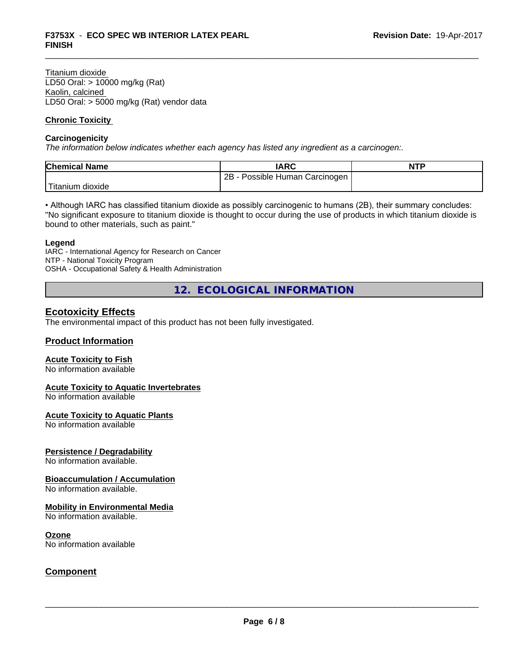Titanium dioxide LD50 Oral: > 10000 mg/kg (Rat) Kaolin, calcined LD50 Oral: > 5000 mg/kg (Rat) vendor data

#### **Chronic Toxicity**

#### **Carcinogenicity**

*The information below indicateswhether each agency has listed any ingredient as a carcinogen:.*

| <b>Chemical Name</b>   | <b>IARC</b>                     | <b>NTP</b> |
|------------------------|---------------------------------|------------|
|                        | 2B<br>Possible Human Carcinogen |            |
| `Titanium<br>ı dioxide |                                 |            |

• Although IARC has classified titanium dioxide as possibly carcinogenic to humans (2B), their summary concludes: "No significant exposure to titanium dioxide is thought to occur during the use of products in which titanium dioxide is bound to other materials, such as paint."

#### **Legend**

IARC - International Agency for Research on Cancer NTP - National Toxicity Program OSHA - Occupational Safety & Health Administration

**12. ECOLOGICAL INFORMATION**

#### **Ecotoxicity Effects**

The environmental impact of this product has not been fully investigated.

#### **Product Information**

#### **Acute Toxicity to Fish**

No information available

#### **Acute Toxicity to Aquatic Invertebrates**

No information available

#### **Acute Toxicity to Aquatic Plants**

No information available

#### **Persistence / Degradability**

No information available.

#### **Bioaccumulation / Accumulation**

No information available.

#### **Mobility in Environmental Media**

No information available.

#### **Ozone**

No information available

#### **Component**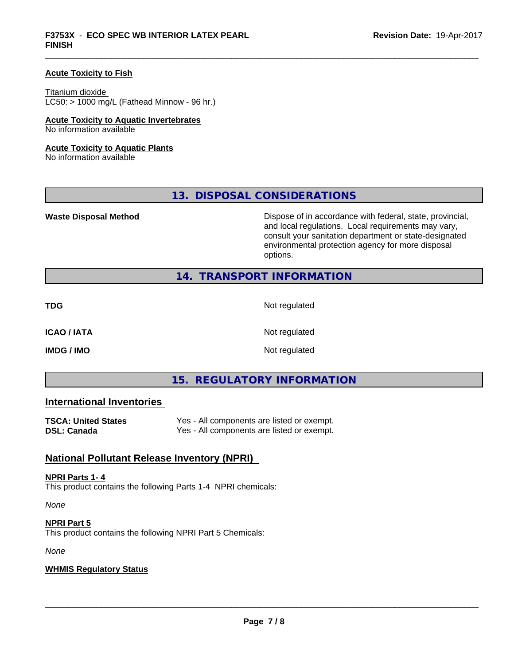#### **Acute Toxicity to Fish**

#### Titanium dioxide

 $LC50:$  > 1000 mg/L (Fathead Minnow - 96 hr.)

## **Acute Toxicity to Aquatic Invertebrates**

No information available

#### **Acute Toxicity to Aquatic Plants**

No information available

**13. DISPOSAL CONSIDERATIONS**

**Waste Disposal Method Dispose of in accordance with federal, state, provincial,** and local regulations. Local requirements may vary, consult your sanitation department or state-designated environmental protection agency for more disposal options.

#### **14. TRANSPORT INFORMATION**

**TDG** Not regulated

**ICAO / IATA** Not regulated

**IMDG / IMO** Not regulated

### **15. REGULATORY INFORMATION**

#### **International Inventories**

| <b>TSCA: United States</b> | Yes - All components are listed or exempt. |
|----------------------------|--------------------------------------------|
| <b>DSL: Canada</b>         | Yes - All components are listed or exempt. |

#### **National Pollutant Release Inventory (NPRI)**

#### **NPRI Parts 1- 4**

This product contains the following Parts 1-4 NPRI chemicals:

*None*

#### **NPRI Part 5**

This product contains the following NPRI Part 5 Chemicals:

*None*

#### **WHMIS Regulatory Status**